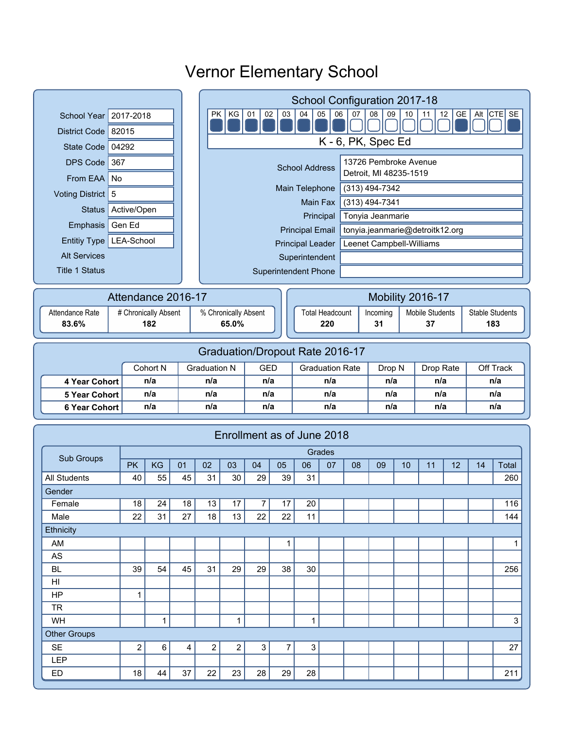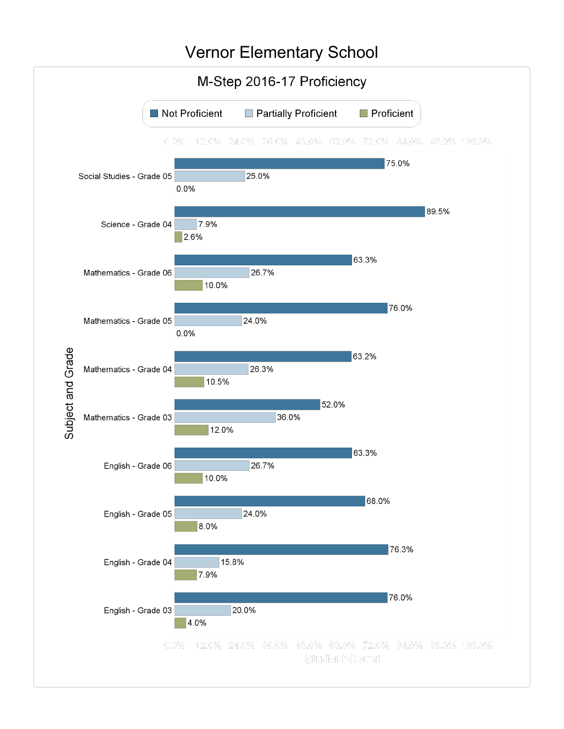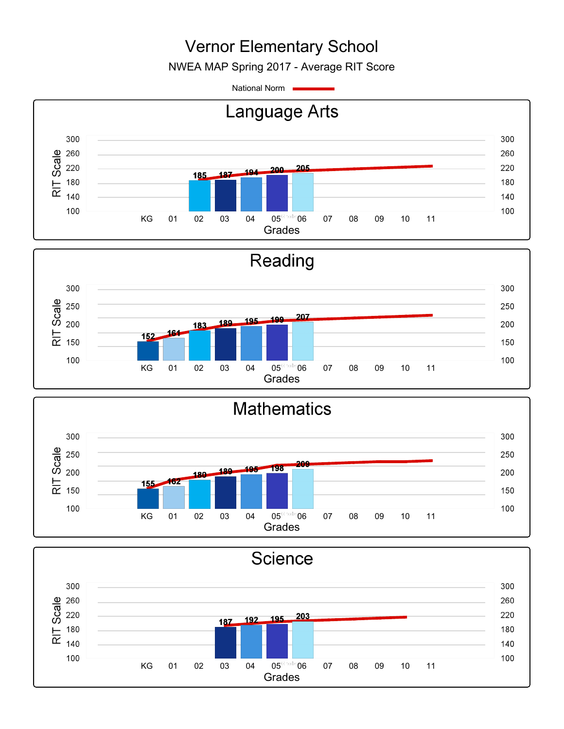NWEA MAP Spring 2017 - Average RIT Score

National Norm